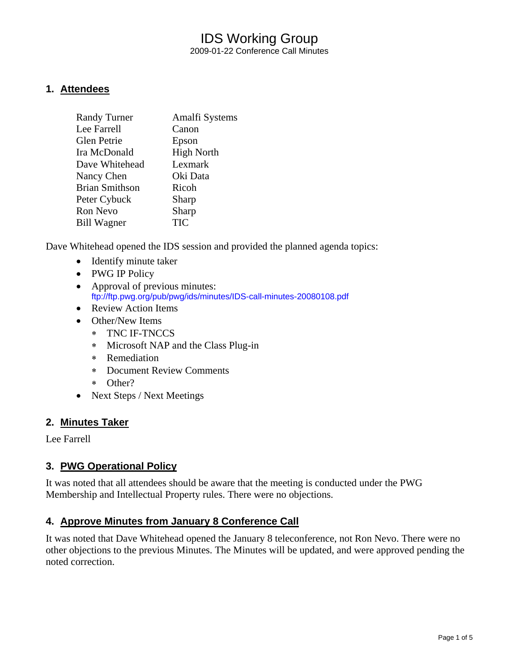# IDS Working Group 2009-01-22 Conference Call Minutes

### **1. Attendees**

| <b>Randy Turner</b>   | Amalfi Systems    |
|-----------------------|-------------------|
| Lee Farrell           | Canon             |
| <b>Glen Petrie</b>    | Epson             |
| Ira McDonald          | <b>High North</b> |
| Dave Whitehead        | Lexmark           |
| Nancy Chen            | Oki Data          |
| <b>Brian Smithson</b> | Ricoh             |
| Peter Cybuck          | Sharp             |
| <b>Ron Nevo</b>       | Sharp             |
| <b>Bill Wagner</b>    | TIC               |
|                       |                   |

Dave Whitehead opened the IDS session and provided the planned agenda topics:

- Identify minute taker
- PWG IP Policy
- Approval of previous minutes: <ftp://ftp.pwg.org/pub/pwg/ids/minutes/IDS-call-minutes-20080108.pdf>
- Review Action Items
- Other/New Items
	- ∗ TNC IF-TNCCS
	- ∗ Microsoft NAP and the Class Plug-in
	- ∗ Remediation
	- ∗ Document Review Comments
	- ∗ Other?
- Next Steps / Next Meetings

### **2. Minutes Taker**

Lee Farrell

# **3. PWG Operational Policy**

It was noted that all attendees should be aware that the meeting is conducted under the PWG Membership and Intellectual Property rules. There were no objections.

# **4. Approve Minutes from January 8 Conference Call**

It was noted that Dave Whitehead opened the January 8 teleconference, not Ron Nevo. There were no other objections to the previous Minutes. The Minutes will be updated, and were approved pending the noted correction.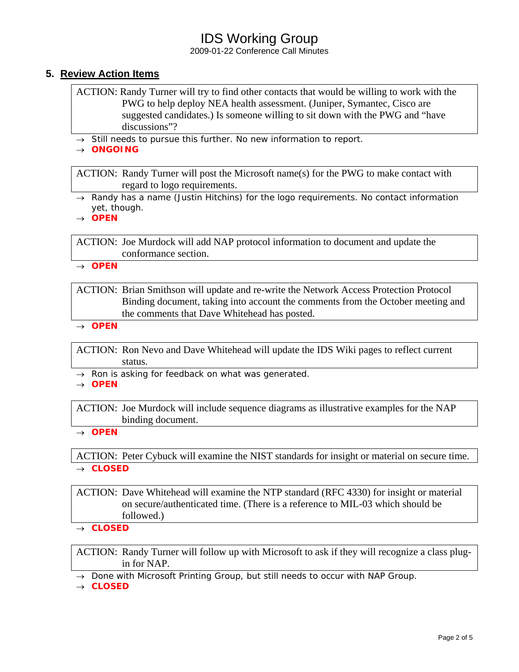2009-01-22 Conference Call Minutes

# **5. Review Action Items**

ACTION: Randy Turner will try to find other contacts that would be willing to work with the PWG to help deploy NEA health assessment. (Juniper, Symantec, Cisco are suggested candidates.) Is someone willing to sit down with the PWG and "have discussions"?

- → *Still needs to pursue this further. No new information to report.*
- → *ONGOING*

ACTION: Randy Turner will post the Microsoft name(s) for the PWG to make contact with regard to logo requirements.

→ *Randy has a name (Justin Hitchins) for the logo requirements. No contact information yet, though.* 

→ *OPEN* 

ACTION: Joe Murdock will add NAP protocol information to document and update the conformance section.

→ *OPEN* 

ACTION: Brian Smithson will update and re-write the Network Access Protection Protocol Binding document, taking into account the comments from the October meeting and the comments that Dave Whitehead has posted.

→ *OPEN* 

ACTION: Ron Nevo and Dave Whitehead will update the IDS Wiki pages to reflect current status.

→ *Ron is asking for feedback on what was generated.* 

→ *OPEN* 

ACTION: Joe Murdock will include sequence diagrams as illustrative examples for the NAP binding document.

→ *OPEN* 

ACTION: Peter Cybuck will examine the NIST standards for insight or material on secure time. → *CLOSED* 

ACTION: Dave Whitehead will examine the NTP standard (RFC 4330) for insight or material on secure/authenticated time. (There is a reference to MIL-03 which should be followed.)

→ *CLOSED* 

ACTION: Randy Turner will follow up with Microsoft to ask if they will recognize a class plugin for NAP.

→ *Done with Microsoft Printing Group, but still needs to occur with NAP Group.* 

→ *CLOSED*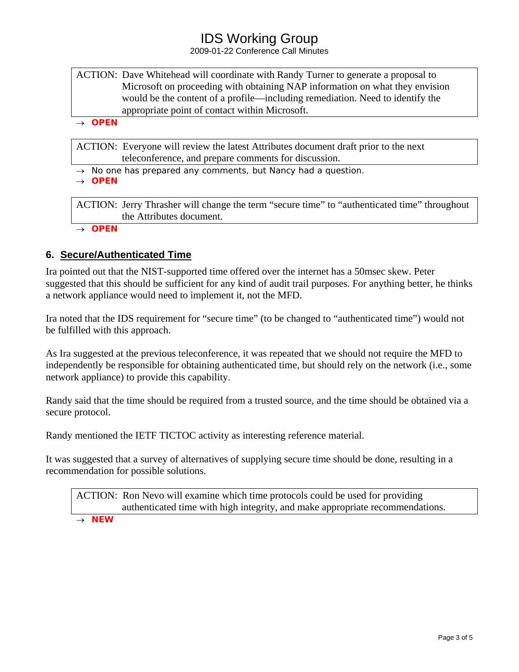2009-01-22 Conference Call Minutes

# ACTION: Dave Whitehead will coordinate with Randy Turner to generate a proposal to Microsoft on proceeding with obtaining NAP information on what they envision would be the content of a profile—including remediation. Need to identify the appropriate point of contact within Microsoft.

→ *OPEN* 

ACTION: Everyone will review the latest Attributes document draft prior to the next teleconference, and prepare comments for discussion.

→ *No one has prepared any comments, but Nancy had a question.* 

→ *OPEN* 

ACTION: Jerry Thrasher will change the term "secure time" to "authenticated time" throughout the Attributes document.

→ *OPEN* 

# **6. Secure/Authenticated Time**

Ira pointed out that the NIST-supported time offered over the internet has a 50msec skew. Peter suggested that this should be sufficient for any kind of audit trail purposes. For anything better, he thinks a network appliance would need to implement it, not the MFD.

Ira noted that the IDS requirement for "secure time" (to be changed to "authenticated time") would not be fulfilled with this approach.

As Ira suggested at the previous teleconference, it was repeated that we should not require the MFD to independently be responsible for obtaining authenticated time, but should rely on the network (i.e., some network appliance) to provide this capability.

Randy said that the time should be required from a trusted source, and the time should be obtained via a secure protocol.

Randy mentioned the IETF TICTOC activity as interesting reference material.

It was suggested that a survey of alternatives of supplying secure time should be done, resulting in a recommendation for possible solutions.

ACTION: Ron Nevo will examine which time protocols could be used for providing authenticated time with high integrity, and make appropriate recommendations.

→ *NEW*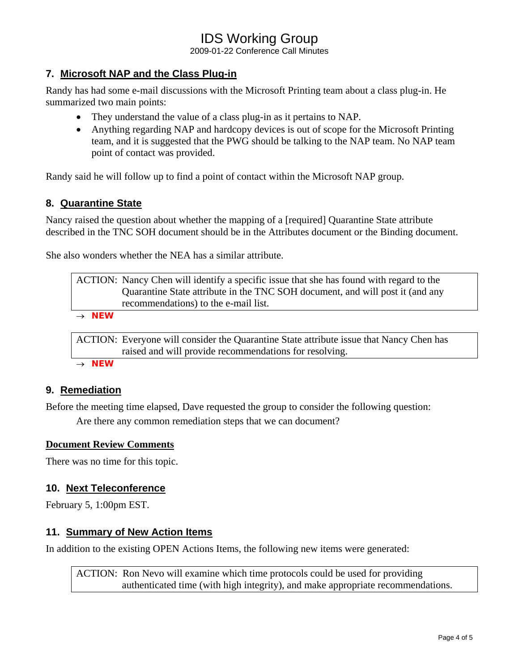2009-01-22 Conference Call Minutes

# **7. Microsoft NAP and the Class Plug-in**

Randy has had some e-mail discussions with the Microsoft Printing team about a class plug-in. He summarized two main points:

- They understand the value of a class plug-in as it pertains to NAP.
- Anything regarding NAP and hardcopy devices is out of scope for the Microsoft Printing team, and it is suggested that the PWG should be talking to the NAP team. No NAP team point of contact was provided.

Randy said he will follow up to find a point of contact within the Microsoft NAP group.

# **8. Quarantine State**

Nancy raised the question about whether the mapping of a [required] Quarantine State attribute described in the TNC SOH document should be in the Attributes document or the Binding document.

She also wonders whether the NEA has a similar attribute.

|                   | ACTION: Nancy Chen will identify a specific issue that she has found with regard to the |
|-------------------|-----------------------------------------------------------------------------------------|
|                   | Quarantine State attribute in the TNC SOH document, and will post it (and any           |
|                   | recommendations) to the e-mail list.                                                    |
| $\rightarrow$ NEW |                                                                                         |

ACTION: Everyone will consider the Quarantine State attribute issue that Nancy Chen has raised and will provide recommendations for resolving.

→ *NEW* 

# **9. Remediation**

Before the meeting time elapsed, Dave requested the group to consider the following question:

Are there any common remediation steps that we can document?

### **Document Review Comments**

There was no time for this topic.

### **10. Next Teleconference**

February 5, 1:00pm EST.

# **11. Summary of New Action Items**

In addition to the existing OPEN Actions Items, the following new items were generated:

ACTION: Ron Nevo will examine which time protocols could be used for providing authenticated time (with high integrity), and make appropriate recommendations.